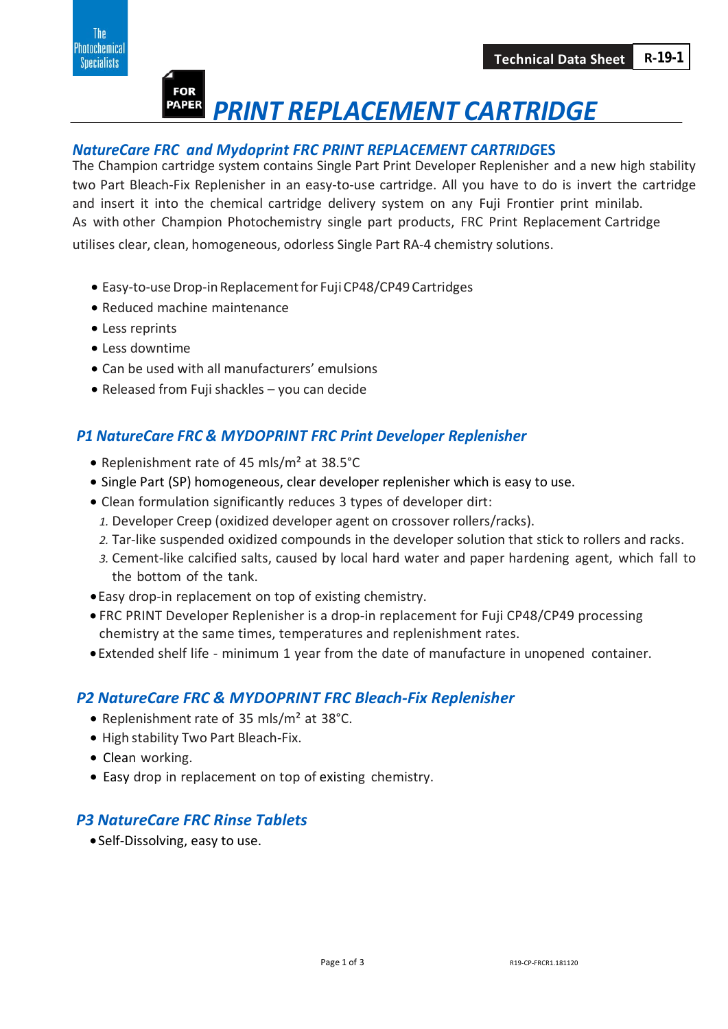

# *PRINT REPLACEMENT CARTRIDGE*

#### *NatureCare FRC and Mydoprint FRC PRINT REPLACEMENT CARTRIDG***ES**

The Champion cartridge system contains Single Part Print Developer Replenisher and a new high stability two Part Bleach-Fix Replenisher in an easy-to-use cartridge. All you have to do is invert the cartridge and insert it into the chemical cartridge delivery system on any Fuji Frontier print minilab. As with other Champion Photochemistry single part products, FRC Print Replacement Cartridge utilises clear, clean, homogeneous, odorless Single Part RA-4 chemistry solutions.

- Easy-to-use Drop-in Replacement for Fuji CP48/CP49 Cartridges
- Reduced machine maintenance
- Less reprints
- Less downtime
- Can be used with all manufacturers' emulsions
- Released from Fuji shackles you can decide

# *P1 NatureCare FRC & MYDOPRINT FRC Print Developer Replenisher*

- Replenishment rate of 45 mls/m² at 38.5°C
- Single Part (SP) homogeneous, clear developer replenisher which is easy to use.
- Clean formulation significantly reduces 3 types of developer dirt:
- *1.* Developer Creep (oxidized developer agent on crossover rollers/racks).
- *2.* Tar-like suspended oxidized compounds in the developer solution that stick to rollers and racks.
- *3.* Cement-like calcified salts, caused by local hard water and paper hardening agent, which fall to the bottom of the tank.
- •Easy drop-in replacement on top of existing chemistry.
- FRC PRINT Developer Replenisher is a drop-in replacement for Fuji CP48/CP49 processing chemistry at the same times, temperatures and replenishment rates.
- •Extended shelf life minimum 1 year from the date of manufacture in unopened container.

# *P2 NatureCare FRC & MYDOPRINT FRC Bleach-Fix Replenisher*

- Replenishment rate of 35 mls/m² at 38°C.
- High stability Two Part Bleach-Fix.
- Clean working.
- Easy drop in replacement on top of existing chemistry.

### *P3 NatureCare FRC Rinse Tablets*

• Self-Dissolving, easy to use.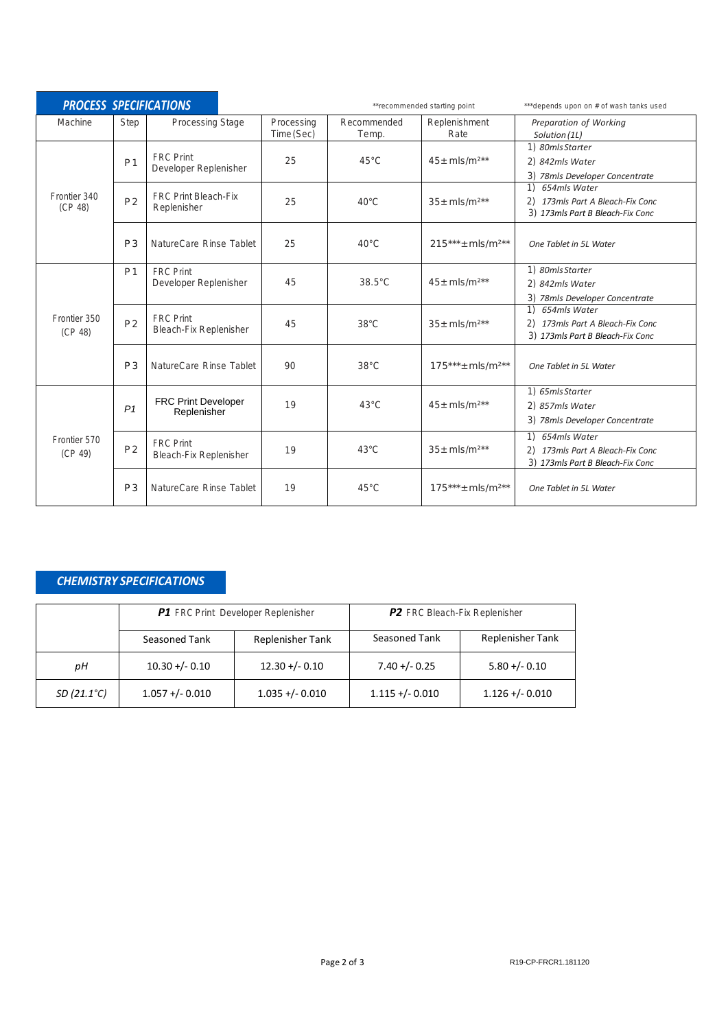| <b>PROCESS SPECIFICATIONS</b> |                |                                                   | **recommended starting point |                      | ***depends upon on # of wash tanks used |                                                                                         |
|-------------------------------|----------------|---------------------------------------------------|------------------------------|----------------------|-----------------------------------------|-----------------------------------------------------------------------------------------|
| Machine                       | Step           | <b>Processing Stage</b>                           | Processing<br>Time (Sec)     | Recommended<br>Temp. | Replenishment<br>Rate                   | Preparation of Working<br>Solution (1L)                                                 |
| Frontier 340<br>(CP 48)       | P <sub>1</sub> | <b>FRC</b> Print<br>Developer Replenisher         | 25                           | $45^{\circ}$ C       | $45 \pm m/s/m^{2**}$                    | 1) 80mls Starter<br>2) 842mls Water<br>3) 78mls Developer Concentrate                   |
|                               | P <sub>2</sub> | <b>FRC Print Bleach-Fix</b><br>Replenisher        | 25                           | $40^{\circ}$ C       | $35 + m/s/m^{2**}$                      | 1) 654mls Water<br>2) 173mls Part A Bleach-Fix Conc<br>3) 173mls Part B Bleach-Fix Conc |
|                               | P <sub>3</sub> | NatureCare Rinse Tablet                           | 25                           | $40^{\circ}$ C       | $215***$ mls/m <sup>2**</sup>           | One Tablet in 5L Water                                                                  |
| Frontier 350<br>(CP 48)       | P <sub>1</sub> | <b>FRC Print</b><br>Developer Replenisher         | 45                           | $38.5^{\circ}$ C     | $45 + m/s/m^{2**}$                      | 1) 80mls Starter<br>2) 842mls Water<br>3) 78mls Developer Concentrate                   |
|                               | P <sub>2</sub> | <b>FRC</b> Print<br><b>Bleach-Fix Replenisher</b> | 45                           | $38^{\circ}$ C       | $35 + m/s/m^{2**}$                      | 1) 654mls Water<br>2) 173mls Part A Bleach-Fix Conc<br>3) 173mls Part B Bleach-Fix Conc |
|                               | P <sub>3</sub> | NatureCare Rinse Tablet                           | 90                           | $38^{\circ}$ C       | $175***$ mls/m <sup>2**</sup>           | One Tablet in 5L Water                                                                  |
| Frontier 570<br>(CP 49)       | P <sub>1</sub> | <b>FRC Print Developer</b><br>Replenisher         | 19                           | $43^{\circ}$ C       | $45 + m/s/m^{2**}$                      | 1) 65mls Starter<br>2) 857mls Water<br>3) 78mls Developer Concentrate                   |
|                               | P <sub>2</sub> | <b>FRC</b> Print<br><b>Bleach-Fix Replenisher</b> | 19                           | $43^{\circ}$ C       | $35 + m/s/m^{2**}$                      | 1) 654mls Water<br>2) 173mls Part A Bleach-Fix Conc<br>3) 173mls Part B Bleach-Fix Conc |
|                               | P <sub>3</sub> | NatureCare Rinse Tablet                           | 19                           | $45^{\circ}$ C       | $175***$ + mls/m <sup>2**</sup>         | One Tablet in 5L Water                                                                  |

#### *CHEMISTRY SPECIFICATIONS*

|                     |                    | <b>P1</b> FRC Print Developer Replenisher | P2 FRC Bleach-Fix Replenisher |                         |  |
|---------------------|--------------------|-------------------------------------------|-------------------------------|-------------------------|--|
|                     | Seasoned Tank      | Replenisher Tank                          | Seasoned Tank                 | <b>Replenisher Tank</b> |  |
| pН                  | $10.30 + (-0.10)$  | $12.30 + (-0.10)$                         | $7.40 + (-0.25)$              | $5.80 + (-0.10)$        |  |
| $SD(21.1^{\circ}C)$ | $1.057 + (-0.010)$ | $1.035 + (-0.010)$                        | $1.115 + (-0.010)$            | $1.126 + (-0.010)$      |  |